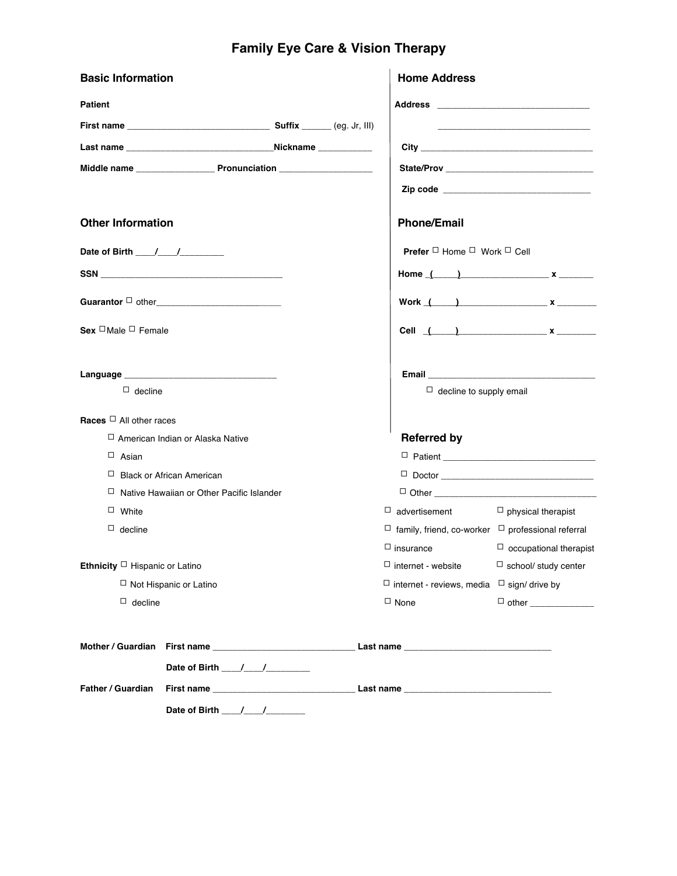# **Family Eye Care & Vision Therapy**

| <b>Basic Information</b>            |                                                                                                                        |                                                        |  | <b>Home Address</b>                                           |                               |  |
|-------------------------------------|------------------------------------------------------------------------------------------------------------------------|--------------------------------------------------------|--|---------------------------------------------------------------|-------------------------------|--|
| <b>Patient</b>                      |                                                                                                                        |                                                        |  |                                                               |                               |  |
|                                     |                                                                                                                        |                                                        |  |                                                               |                               |  |
|                                     |                                                                                                                        |                                                        |  |                                                               |                               |  |
|                                     |                                                                                                                        |                                                        |  |                                                               |                               |  |
|                                     |                                                                                                                        |                                                        |  |                                                               |                               |  |
| <b>Other Information</b>            |                                                                                                                        |                                                        |  | <b>Phone/Email</b>                                            |                               |  |
| Date of Birth ____/____/__________  |                                                                                                                        |                                                        |  | <b>Prefer</b> $\Box$ Home $\Box$ Work $\Box$ Cell             |                               |  |
|                                     |                                                                                                                        |                                                        |  |                                                               | Home $($ $)$ $x$ $)$          |  |
|                                     |                                                                                                                        |                                                        |  |                                                               | Work $($ $)$ $x$ $)$          |  |
| Sex $\Box$ Male $\Box$ Female       |                                                                                                                        |                                                        |  |                                                               | Cell $($ $)$ $x$ $)$          |  |
|                                     |                                                                                                                        |                                                        |  |                                                               |                               |  |
| $\Box$ decline                      |                                                                                                                        |                                                        |  | $\Box$ decline to supply email                                |                               |  |
| Races $\Box$ All other races        |                                                                                                                        |                                                        |  |                                                               |                               |  |
|                                     | □ American Indian or Alaska Native                                                                                     |                                                        |  | <b>Referred by</b>                                            |                               |  |
| $\Box$ Asian                        |                                                                                                                        |                                                        |  |                                                               |                               |  |
|                                     | $\Box$ Black or African American                                                                                       |                                                        |  |                                                               |                               |  |
|                                     | □ Native Hawaiian or Other Pacific Islander                                                                            |                                                        |  |                                                               |                               |  |
| $\Box$ White                        |                                                                                                                        |                                                        |  | $\Box$ advertisement                                          | $\Box$ physical therapist     |  |
| $\Box$ decline                      |                                                                                                                        |                                                        |  | $\Box$ family, friend, co-worker $\Box$ professional referral |                               |  |
|                                     |                                                                                                                        |                                                        |  | $\Box$ insurance                                              | $\Box$ occupational therapist |  |
| Ethnicity $\Box$ Hispanic or Latino |                                                                                                                        |                                                        |  | $\Box$ internet - website                                     | $\Box$ school/ study center   |  |
| $\Box$ Not Hispanic or Latino       |                                                                                                                        | $\Box$ internet - reviews, media $\Box$ sign/ drive by |  |                                                               |                               |  |
| $\Box$ decline                      |                                                                                                                        |                                                        |  | $\Box$ None                                                   |                               |  |
|                                     | Mother / Guardian First name <b>contained the contract of the Contract of Australia</b> Contract Contract of Text of A |                                                        |  |                                                               |                               |  |
|                                     |                                                                                                                        |                                                        |  |                                                               |                               |  |
| Father / Guardian                   |                                                                                                                        |                                                        |  |                                                               |                               |  |

**Date of Birth \_\_\_\_/\_\_\_\_/\_\_\_\_\_\_\_\_**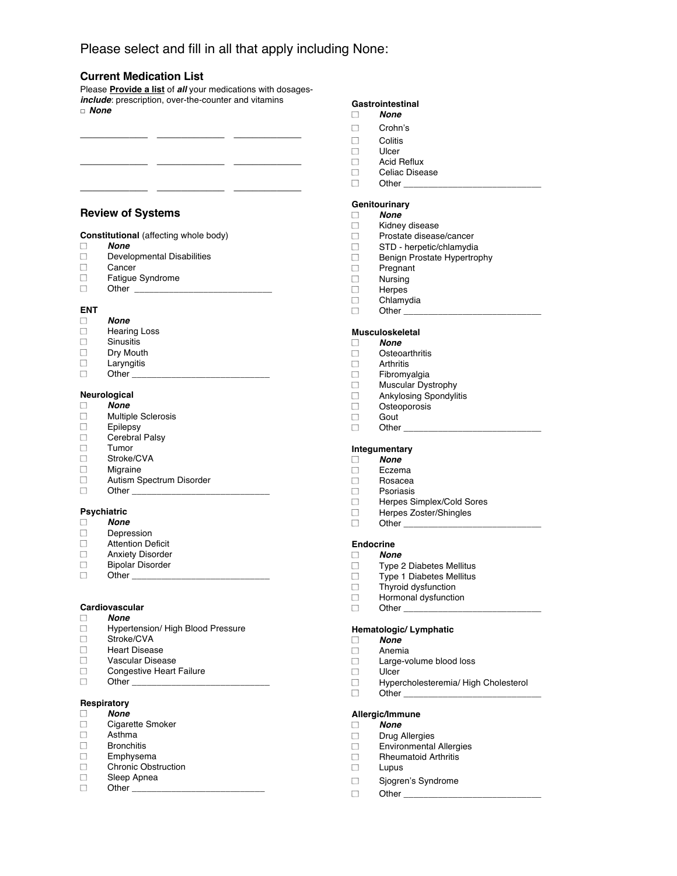# Please select and fill in all that apply including None:

**\_\_\_\_\_\_\_\_\_\_\_ \_\_\_\_\_\_\_\_\_\_\_ \_\_\_\_\_\_\_\_\_\_\_**

#### **Current Medication List**

Please **Provide a list** of *all* your medications with dosages*include*: prescription, over-the-counter and vitamins □ *None*

**\_\_\_\_\_\_\_\_\_\_\_ \_\_\_\_\_\_\_\_\_\_\_ \_\_\_\_\_\_\_\_\_\_\_**

**\_\_\_\_\_\_\_\_\_\_\_ \_\_\_\_\_\_\_\_\_\_\_ \_\_\_\_\_\_\_\_\_\_\_**

#### **Review of Systems**

- *None*
- Developmental Disabilities  $\Box$
- Cancer  $\Box$
- $\Box$ Fatigue Syndrome
- $\Box$ Other

#### **ENT**

- *None*  $\Box$
- Hearing Loss  $\Box$
- $\Box$ **Sinusitis**
- $\Box$ Dry Mouth
- $\Box$ Laryngitis
- $\Box$ Other

#### **Neurological**

- *None*  $\Box$  $\Box$ Multiple Sclerosis
- $\Box$ **Epilepsy**
- Cerebral Palsy  $\Box$
- $\Box$ Tumor
- $\Box$ Stroke/CVA
- $\Box$ Migraine
- $\Box$ Autism Spectrum Disorder
- $\Box$ Other \_

# **Psychiatric**

- *None* Depression  $\Box$
- $\Box$ Attention Deficit
- $\Box$ Anxiety Disorder
- $\Box$ Bipolar Disorder
- $\Box$ Other

#### **Cardiovascular**

- $\Box$ *None*
- Hypertension/ High Blood Pressure  $\Box$
- $\Box$ Stroke/CVA
- $\Box$ Heart Disease
- $\Box$ Vascular Disease
- $\Box$ Congestive Heart Failure
- $\Box$ Other \_

# **Respiratory**

- *None*
- $\Box$ Cigarette Smoker
- $\Box$ Asthma  $\Box$ **Bronchitis**
- $\Box$ Emphysema
- Chronic Obstruction  $\Box$
- $\Box$ Sleep Apnea
- $\Box$ Other \_\_\_\_\_

### **Gastrointestinal**

- $\Box$ *None*
- $\Box$ Crohn"s
- $\Box$ **Colitis**
- Ulcer  $\Box$
- $\Box$ Acid Reflux
- $\Box$ Celiac Disease
- $\Box$ Other  $\_$

#### **Genitourinary**

- *None*  $\Box$
- $\Box$ Kidney disease
- $\Box$ Prostate disease/cancer
- STD herpetic/chlamydia  $\Box$
- $\Box$ Benign Prostate Hypertrophy
- $\Box$ Pregnant
- $\Box$ Nursing
- $\Box$ **Herpes**
- $\Box$ Chlamydia
- $\Box$ Other  $_$

# **Musculoskeletal**

- *None*
- $\Box$ **Osteoarthritis**
- $\Box$ Arthritis
- Fibromyalgia  $\Box$
- Muscular Dystrophy  $\Box$
- $\Box$ Ankylosing Spondylitis  $\Box$ 
	- Osteoporosis
- $\Box$ Gout
- $\Box$ Other

#### **Integumentary**

- *None*  $\Box$
- $\Box$ Eczema
- Rosacea  $\Box$
- $\Box$ Psoriasis
- $\Box$ Herpes Simplex/Cold Sores
- $\Box$ Herpes Zoster/Shingles
- $\Box$ Other  $\_\_$

#### **Endocrine**

- $\Box$ *None*
- $\Box$ Type 2 Diabetes Mellitus
- $\Box$ Type 1 Diabetes Mellitus
- $\Box$ Thyroid dysfunction
- Hormonal dysfunction  $\Box$
- $\Box$ Other

#### **Hematologic/ Lymphatic**

- *None*  $\Box$
- $\Box$ Anemia  $\Box$ Large-volume blood loss
- **Ulcer**

Drug Allergies Environmental Allergies Rheumatoid Arthritis

Sjogren's Syndrome

 $\Box$ 

 $\Box$ 

 $\Box$ 

 $\Box$ 

 $\Box$ 

 $\Box$ 

 $\Box$ 

 $\Box$ Hypercholesteremia/ High Cholesterol  $\Box$  $O$ ther

# **Allergic/Immune**

*None*

Lupus

Other  $\_\_$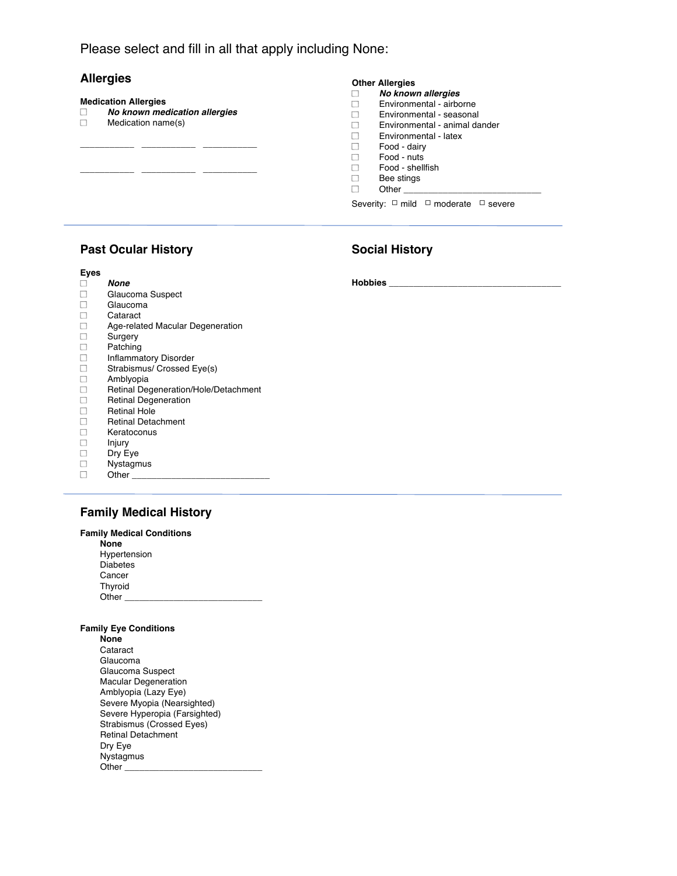Please select and fill in all that apply including None:

# **Allergies**

### **Medication Allergies** *No known medication allergies*  $\Box$ Medication name(s) **\_\_\_\_\_\_\_\_\_\_\_ \_\_\_\_\_\_\_\_\_\_\_ \_\_\_\_\_\_\_\_\_\_\_ \_\_\_\_\_\_\_\_\_\_\_ \_\_\_\_\_\_\_\_\_\_\_ \_\_\_\_\_\_\_\_\_\_\_**

#### **Other Allergies**

|              | No known allergies            |
|--------------|-------------------------------|
| $\mathbf{1}$ | Environmental - airborne      |
| $\mathbf{1}$ | Environmental - seasonal      |
| П            | Environmental - animal dander |
| $\Box$       | Environmental - latex         |
| $\Box$       | Food - dairy                  |
| $\Box$       | Food - nuts                   |
| $\Box$       | Food - shellfish              |
| $\mathbf{1}$ | Bee stings                    |
|              | Other                         |
|              |                               |

Severity: □ mild □ moderate □ severe

# **Past Ocular History**

**Eyes**

# **Social History**

**Hobbies \_\_\_\_\_\_\_\_\_\_\_\_\_\_\_\_\_\_\_\_\_\_\_\_\_\_\_\_\_\_\_\_\_\_\_**

|                          | None                                 |
|--------------------------|--------------------------------------|
|                          | Glaucoma Suspect                     |
|                          | Glaucoma                             |
| П                        | Cataract                             |
| $\overline{\phantom{a}}$ | Age-related Macular Degeneration     |
| $\Box$                   | Surgery                              |
| ٦                        | Patching                             |
| ٦                        | <b>Inflammatory Disorder</b>         |
| ┐                        | Strabismus/ Crossed Eye(s)           |
| ┐                        | Amblyopia                            |
| П                        | Retinal Degeneration/Hole/Detachment |
| П                        | <b>Retinal Degeneration</b>          |
| П                        | <b>Retinal Hole</b>                  |
| ŗ٦                       | <b>Retinal Detachment</b>            |
| $\mathbf{1}$             | Keratoconus                          |
| $\Box$                   | Injury                               |
| П                        | Dry Eye                              |
|                          | Nystagmus                            |
|                          | Other                                |

# **Family Medical History**

# **Family Medical Conditions**

 **None** Hypertension Diabetes Cancer Thyroid Other  $\_$ 

#### **Family Eye Conditions**

 **None** Cataract Glaucoma Glaucoma Suspect Macular Degeneration Amblyopia (Lazy Eye) Severe Myopia (Nearsighted) Severe Hyperopia (Farsighted) Strabismus (Crossed Eyes) Retinal Detachment Dry Eye Nystagmus Other **\_\_\_\_\_\_\_\_\_\_\_\_\_\_\_\_\_\_\_\_\_\_\_\_\_\_\_\_**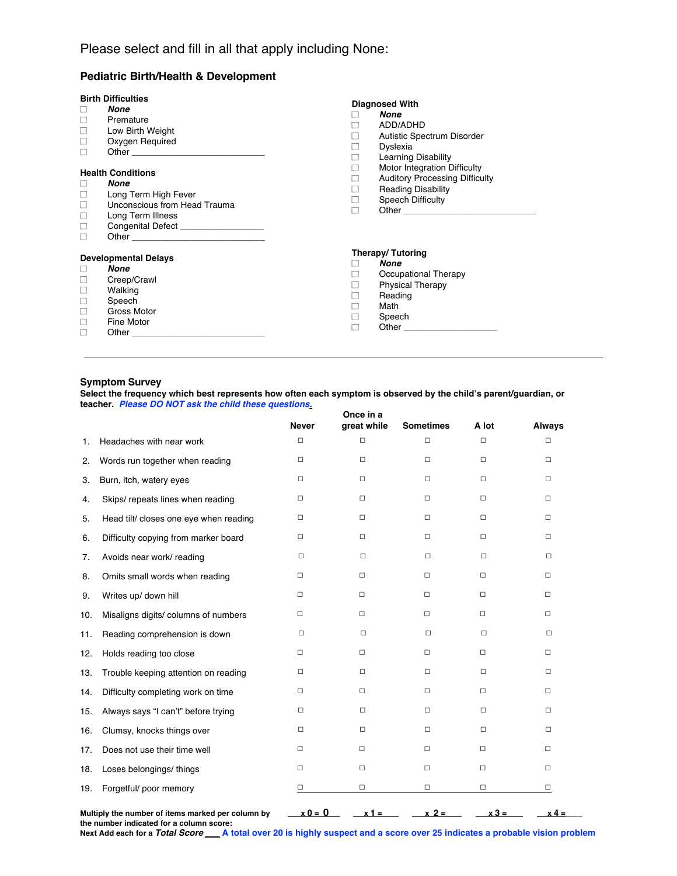# **Pediatric Birth/Health & Development**

| $\Box$<br>$\Box$<br>$\Box$<br>□<br>$\Box$ | <b>Birth Difficulties</b><br>None<br>Premature<br>Low Birth Weight<br>Oxygen Required<br><b>Health Conditions</b><br>None<br>Long Term High Fever<br>Unconscious from Head Trauma<br>Long Term Illness<br>Congenital Defect <b>Congenital</b> | <b>Diagnosed With</b><br>$\Box$<br>$\Box$<br>П<br>$\Box$<br>□<br>П<br>□<br>П<br>$\Box$<br>П | None<br>ADD/ADHD<br><b>Autistic Spectrum Disorder</b><br>Dyslexia<br><b>Learning Disability</b><br>Motor Integration Difficulty<br><b>Auditory Processing Difficulty</b><br><b>Reading Disability</b><br><b>Speech Difficulty</b> |
|-------------------------------------------|-----------------------------------------------------------------------------------------------------------------------------------------------------------------------------------------------------------------------------------------------|---------------------------------------------------------------------------------------------|-----------------------------------------------------------------------------------------------------------------------------------------------------------------------------------------------------------------------------------|
| Ш<br>$\overline{\phantom{a}}$<br>Е        | <b>Developmental Delays</b><br>None<br>Creep/Crawl<br>Walking<br>Speech<br>Gross Motor<br>Fine Motor                                                                                                                                          | П<br>П<br>$\Box$<br>$\Box$<br>$\Box$<br>П                                                   | Therapy/Tutoring<br>None<br>Occupational Therapy<br><b>Physical Therapy</b><br>Reading<br>Math<br>Speech                                                                                                                          |

#### **Symptom Survey**

**Select the frequency which best represents how often each symptom is observed by the child's parent/guardian, or teacher.** *Please DO NOT ask the child these questions.*

|     |                                        | <b>Never</b> | Once in a<br>great while | <b>Sometimes</b> | A lot  | Always |
|-----|----------------------------------------|--------------|--------------------------|------------------|--------|--------|
| 1.  | Headaches with near work               | 0            | □                        | □                | $\Box$ | $\Box$ |
| 2.  | Words run together when reading        | $\Box$       | $\Box$                   | $\Box$           | $\Box$ | $\Box$ |
| 3.  | Burn, itch, watery eyes                | 0            | $\Box$                   | $\Box$           | $\Box$ | $\Box$ |
| 4.  | Skips/ repeats lines when reading      | □            | 0                        | 0                | □      | О      |
| 5.  | Head tilt/ closes one eye when reading | $\Box$       | $\Box$                   | $\Box$           | $\Box$ | 0      |
| 6.  | Difficulty copying from marker board   | $\Box$       | 0                        | 0                | $\Box$ | $\Box$ |
| 7.  | Avoids near work/ reading              | $\Box$       | $\Box$                   | $\Box$           | $\Box$ | $\Box$ |
| 8.  | Omits small words when reading         | $\Box$       | $\Box$                   | □                | О      | $\Box$ |
| 9.  | Writes up/ down hill                   | $\Box$       | $\Box$                   | 0                | $\Box$ | $\Box$ |
| 10. | Misaligns digits/ columns of numbers   | $\Box$       | 0                        | 0                | $\Box$ | $\Box$ |
| 11. | Reading comprehension is down          | О            | $\Box$                   | $\Box$           | $\Box$ | $\Box$ |
| 12. | Holds reading too close                | $\Box$       | $\Box$                   | □                | $\Box$ | $\Box$ |
| 13. | Trouble keeping attention on reading   | 0            | $\Box$                   | 0                | $\Box$ | $\Box$ |
| 14. | Difficulty completing work on time     | $\Box$       | $\Box$                   | $\Box$           | $\Box$ | $\Box$ |
| 15. | Always says "I can't" before trying    | $\Box$       | $\Box$                   | $\Box$           | $\Box$ | $\Box$ |
| 16. | Clumsy, knocks things over             | $\Box$       | $\Box$                   | $\Box$           | $\Box$ | $\Box$ |
| 17. | Does not use their time well           | $\Box$       | $\Box$                   | 0                | $\Box$ | $\Box$ |
| 18. | Loses belongings/ things               | $\Box$       | $\Box$                   | $\Box$           | $\Box$ | $\Box$ |
| 19. | Forgetful/ poor memory                 | □            | $\Box$                   | □                | $\Box$ | $\Box$ |

Multiply the number of items marked per column by  $x0 = 0$   $x1 = 0$   $x2 = 0$   $x3 = 0$   $x3 = 0$ 

**the number indicated for a column score:** Next Add each for a Total Score \_\_\_ A total over 20 is highly suspect and a score over 25 indicates a probable vision problem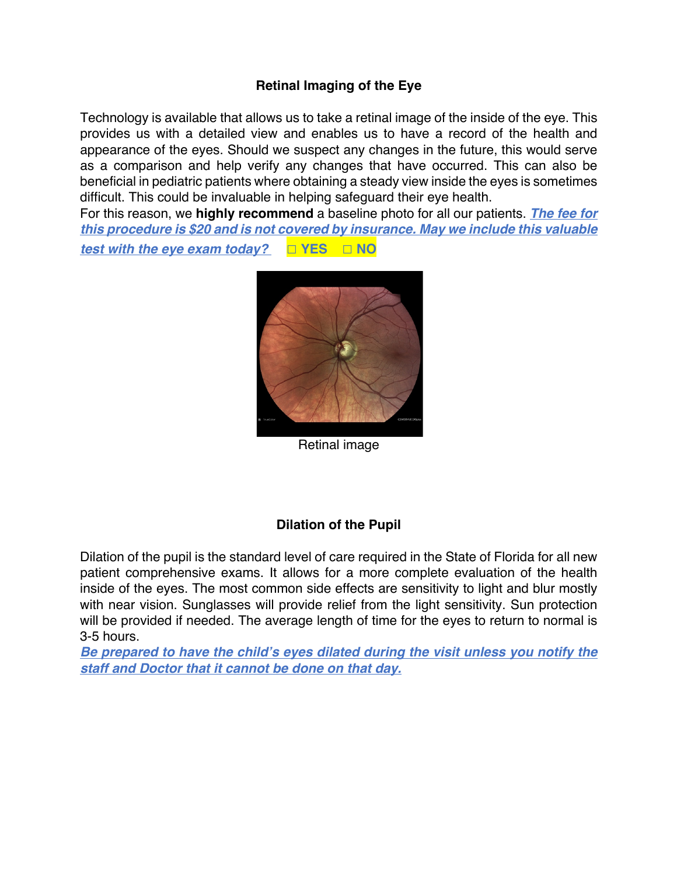# **Retinal Imaging of the Eye**

Technology is available that allows us to take a retinal image of the inside of the eye. This provides us with a detailed view and enables us to have a record of the health and appearance of the eyes. Should we suspect any changes in the future, this would serve as a comparison and help verify any changes that have occurred. This can also be beneficial in pediatric patients where obtaining a steady view inside the eyes is sometimes difficult. This could be invaluable in helping safeguard their eye health.

For this reason, we **highly recommend** a baseline photo for all our patients. *The fee for this procedure is \$20 and is not covered by insurance. May we include this valuable*

*test with the eye exam today?* **□ YES □ NO**



Retinal image

# **Dilation of the Pupil**

Dilation of the pupil is the standard level of care required in the State of Florida for all new patient comprehensive exams. It allows for a more complete evaluation of the health inside of the eyes. The most common side effects are sensitivity to light and blur mostly with near vision. Sunglasses will provide relief from the light sensitivity. Sun protection will be provided if needed. The average length of time for the eyes to return to normal is 3-5 hours.

*Be prepared to have the child's eyes dilated during the visit unless you notify the staff and Doctor that it cannot be done on that day.*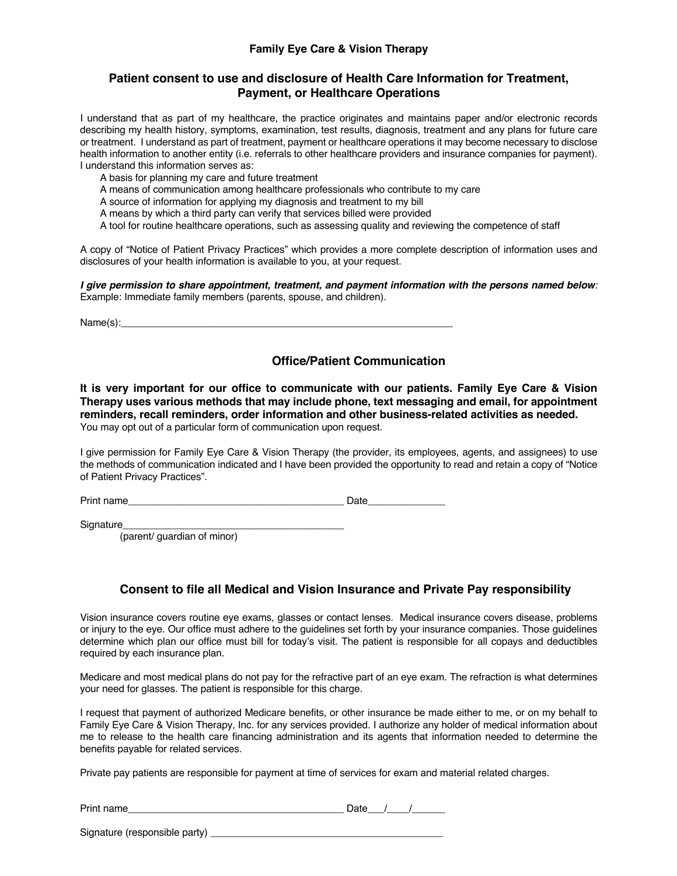### **Family Eye Care & Vision Therapy**

### **Patient consent to use and disclosure of Health Care Information for Treatment, Payment, or Healthcare Operations**

I understand that as part of my healthcare, the practice originates and maintains paper and/or electronic records describing my health history, symptoms, examination, test results, diagnosis, treatment and any plans for future care or treatment. I understand as part of treatment, payment or healthcare operations it may become necessary to disclose health information to another entity (i.e. referrals to other healthcare providers and insurance companies for payment). I understand this information serves as:

A basis for planning my care and future treatment

A means of communication among healthcare professionals who contribute to my care

A source of information for applying my diagnosis and treatment to my bill

A means by which a third party can verify that services billed were provided

A tool for routine healthcare operations, such as assessing quality and reviewing the competence of staff

A copy of "Notice of Patient Privacy Practices" which provides a more complete description of information uses and disclosures of your health information is available to you, at your request.

*I give permission to share appointment, treatment, and payment information with the persons named below:* Example: Immediate family members (parents, spouse, and children).

 $Name(s):$ 

## **Office/Patient Communication**

**It is very important for our office to communicate with our patients. Family Eye Care & Vision Therapy uses various methods that may include phone, text messaging and email, for appointment reminders, recall reminders, order information and other business-related activities as needed.**  You may opt out of a particular form of communication upon request.

I give permission for Family Eye Care & Vision Therapy (the provider, its employees, agents, and assignees) to use the methods of communication indicated and I have been provided the opportunity to read and retain a copy of "Notice of Patient Privacy Practices".

Print name **Date** 

Signature

(parent/ guardian of minor)

## **Consent to file all Medical and Vision Insurance and Private Pay responsibility**

Vision insurance covers routine eye exams, glasses or contact lenses. Medical insurance covers disease, problems or injury to the eye. Our office must adhere to the guidelines set forth by your insurance companies. Those guidelines determine which plan our office must bill for today's visit. The patient is responsible for all copays and deductibles required by each insurance plan.

Medicare and most medical plans do not pay for the refractive part of an eye exam. The refraction is what determines your need for glasses. The patient is responsible for this charge.

I request that payment of authorized Medicare benefits, or other insurance be made either to me, or on my behalf to Family Eye Care & Vision Therapy, Inc. for any services provided. I authorize any holder of medical information about me to release to the health care financing administration and its agents that information needed to determine the benefits payable for related services.

Private pay patients are responsible for payment at time of services for exam and material related charges.

| Dullas,<br>name<br>⊬rır |  |  |
|-------------------------|--|--|
|                         |  |  |

Signature (responsible party) \_\_\_\_\_\_\_\_\_\_\_\_\_\_\_\_\_\_\_\_\_\_\_\_\_\_\_\_\_\_\_\_\_\_\_\_\_\_\_\_\_\_